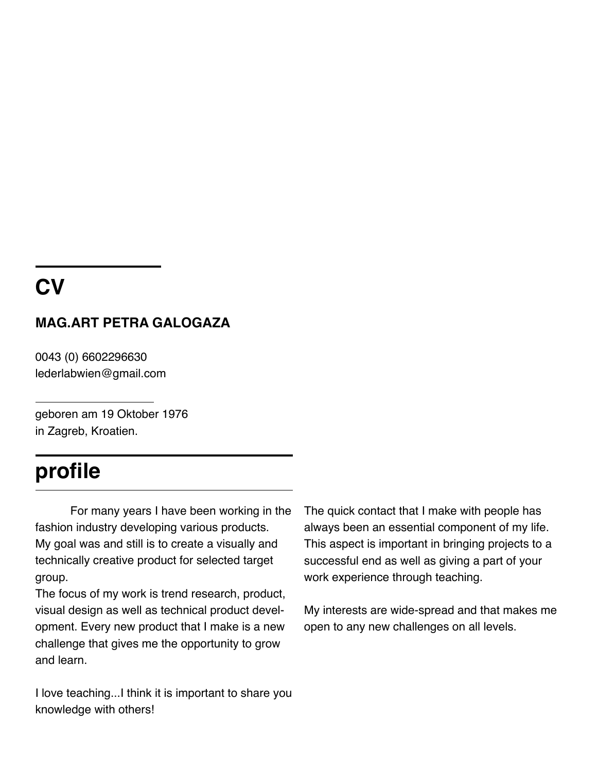## **CV**

#### **MAG.ART PETRA GALOGAZA**

0043 (0) 6602296630 lederlabwien@gmail.com

geboren am 19 Oktober 1976 in Zagreb, Kroatien.

## **profile**

For many years I have been working in the fashion industry developing various products. My goal was and still is to create a visually and technically creative product for selected target group.

The focus of my work is trend research, product, visual design as well as technical product development. Every new product that I make is a new challenge that gives me the opportunity to grow and learn.

I love teaching...I think it is important to share you knowledge with others!

The quick contact that I make with people has always been an essential component of my life. This aspect is important in bringing projects to a successful end as well as giving a part of your work experience through teaching.

My interests are wide-spread and that makes me open to any new challenges on all levels.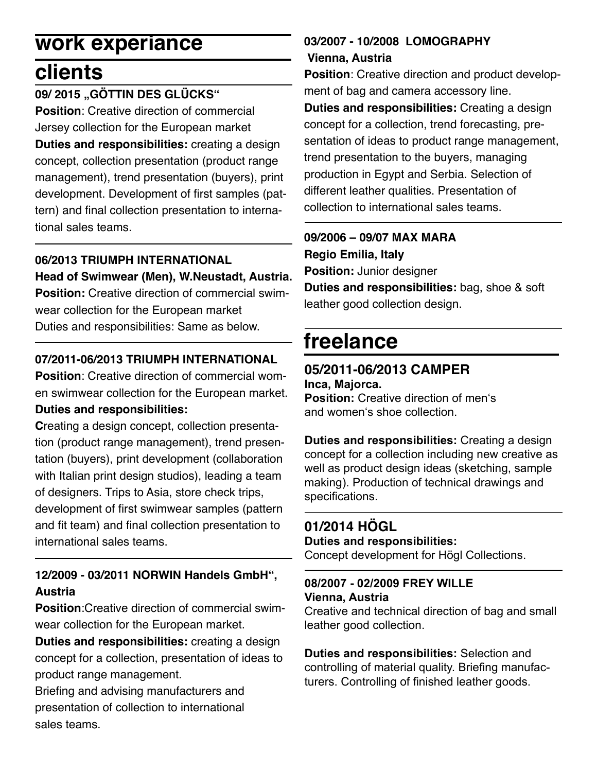# **work experiance**

## **clients**

#### **09/ 2015 "GÖTTIN DES GLÜCKS"**

**Position**: Creative direction of commercial Jersey collection for the European market **Duties and responsibilities:** creating a design concept, collection presentation (product range management), trend presentation (buyers), print development. Development of first samples (pattern) and final collection presentation to international sales teams.

#### **06/2013 TRIUMPH INTERNATIONAL**

**Head of Swimwear (Men), W.Neustadt, Austria. Position:** Creative direction of commercial swimwear collection for the European market Duties and responsibilities: Same as below.

#### **07/2011-06/2013 TRIUMPH INTERNATIONAL**

**Position**: Creative direction of commercial women swimwear collection for the European market. **Duties and responsibilities:**

**C**reating a design concept, collection presentation (product range management), trend presentation (buyers), print development (collaboration with Italian print design studios), leading a team of designers. Trips to Asia, store check trips, development of first swimwear samples (pattern and fit team) and final collection presentation to international sales teams.

#### **12/2009 - 03/2011 NORWIN Handels GmbH", Austria**

**Position**:Creative direction of commercial swimwear collection for the European market.

**Duties and responsibilities:** creating a design concept for a collection, presentation of ideas to product range management.

Briefing and advising manufacturers and presentation of collection to international sales teams.

#### **03/2007 - 10/2008 LOMOGRAPHY Vienna, Austria**

**Position**: Creative direction and product development of bag and camera accessory line.

**Duties and responsibilities:** Creating a design concept for a collection, trend forecasting, presentation of ideas to product range management, trend presentation to the buyers, managing production in Egypt and Serbia. Selection of different leather qualities. Presentation of collection to international sales teams.

#### **09/2006 – 09/07 MAX MARA**

**Regio Emilia, Italy**

**Position:** Junior designer

**Duties and responsibilities:** bag, shoe & soft leather good collection design.

## **freelance**

### **05/2011-06/2013 CAMPER**

**Inca, Majorca. Position:** Creative direction of men's and women's shoe collection.

**Duties and responsibilities:** Creating a design concept for a collection including new creative as well as product design ideas (sketching, sample making). Production of technical drawings and specifications.

## **01/2014 HÖGL**

#### **Duties and responsibilities:**

Concept development for Högl Collections.

#### **08/2007 - 02/2009 FREY WILLE Vienna, Austria**

Creative and technical direction of bag and small leather good collection.

**Duties and responsibilities:** Selection and controlling of material quality. Briefing manufacturers. Controlling of finished leather goods.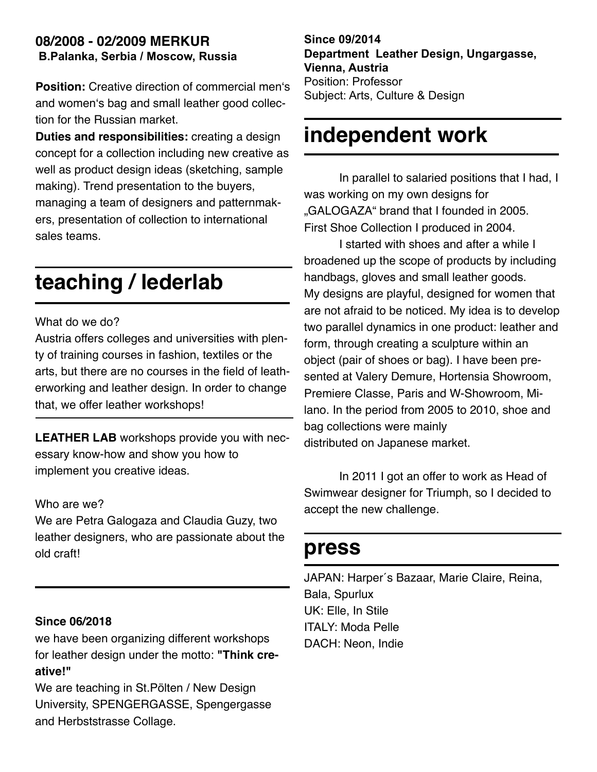#### **08/2008 - 02/2009 MERKUR B.Palanka, Serbia / Moscow, Russia**

**Position:** Creative direction of commercial men's and women's bag and small leather good collection for the Russian market.

**Duties and responsibilities:** creating a design concept for a collection including new creative as well as product design ideas (sketching, sample making). Trend presentation to the buyers, managing a team of designers and patternmakers, presentation of collection to international sales teams.

## **teaching / lederlab**

#### What do we do?

Austria offers colleges and universities with plenty of training courses in fashion, textiles or the arts, but there are no courses in the field of leatherworking and leather design. In order to change that, we offer leather workshops!

**LEATHER LAB** workshops provide you with necessary know-how and show you how to implement you creative ideas.

#### Who are we?

We are Petra Galogaza and Claudia Guzy, two leather designers, who are passionate about the old craft!

#### **Since 06/2018**

we have been organizing different workshops for leather design under the motto: **"Think creative!"**

We are teaching in St.Pölten / New Design University, SPENGERGASSE, Spengergasse and Herbststrasse Collage.

**Since 09/2014 Department Leather Design, Ungargasse, Vienna, Austria** Position: Professor Subject: Arts, Culture & Design

## **independent work**

In parallel to salaried positions that I had, I was working on my own designs for "GALOGAZA" brand that I founded in 2005. First Shoe Collection I produced in 2004.

I started with shoes and after a while I broadened up the scope of products by including handbags, gloves and small leather goods. My designs are playful, designed for women that are not afraid to be noticed. My idea is to develop two parallel dynamics in one product: leather and form, through creating a sculpture within an object (pair of shoes or bag). I have been presented at Valery Demure, Hortensia Showroom, Premiere Classe, Paris and W-Showroom, Milano. In the period from 2005 to 2010, shoe and bag collections were mainly distributed on Japanese market.

In 2011 I got an offer to work as Head of Swimwear designer for Triumph, so I decided to accept the new challenge.

## **press**

JAPAN: Harper´s Bazaar, Marie Claire, Reina, Bala, Spurlux UK: Elle, In Stile ITALY: Moda Pelle DACH: Neon, Indie